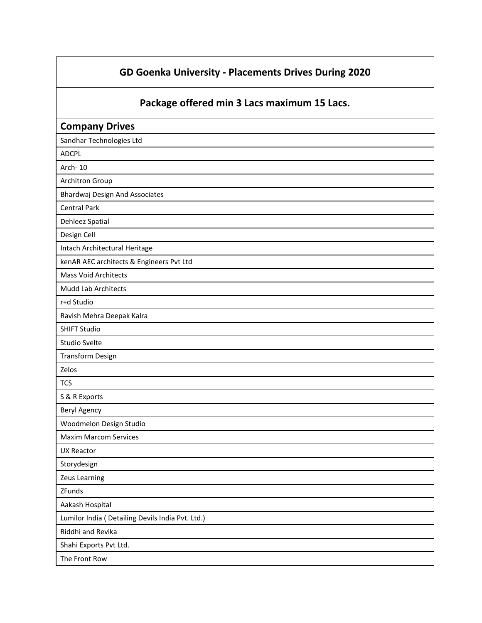## **GD Goenka University - Placements Drives During 2020**

**Package offered min 3 Lacs maximum 15 Lacs.**

| <b>Company Drives</b>                             |
|---------------------------------------------------|
| Sandhar Technologies Ltd                          |
| <b>ADCPL</b>                                      |
| Arch-10                                           |
| Architron Group                                   |
| <b>Bhardwaj Design And Associates</b>             |
| <b>Central Park</b>                               |
| Dehleez Spatial                                   |
| Design Cell                                       |
| Intach Architectural Heritage                     |
| kenAR AEC architects & Engineers Pvt Ltd          |
| <b>Mass Void Architects</b>                       |
| <b>Mudd Lab Architects</b>                        |
| r+d Studio                                        |
| Ravish Mehra Deepak Kalra                         |
| <b>SHIFT Studio</b>                               |
| <b>Studio Svelte</b>                              |
| <b>Transform Design</b>                           |
| Zelos                                             |
| <b>TCS</b>                                        |
| S & R Exports                                     |
| Beryl Agency                                      |
| Woodmelon Design Studio                           |
| <b>Maxim Marcom Services</b>                      |
| <b>UX Reactor</b>                                 |
| Storydesign                                       |
| Zeus Learning                                     |
| ZFunds                                            |
| Aakash Hospital                                   |
| Lumilor India ( Detailing Devils India Pvt. Ltd.) |
| Riddhi and Revika                                 |
| Shahi Exports Pvt Ltd.                            |
| The Front Row                                     |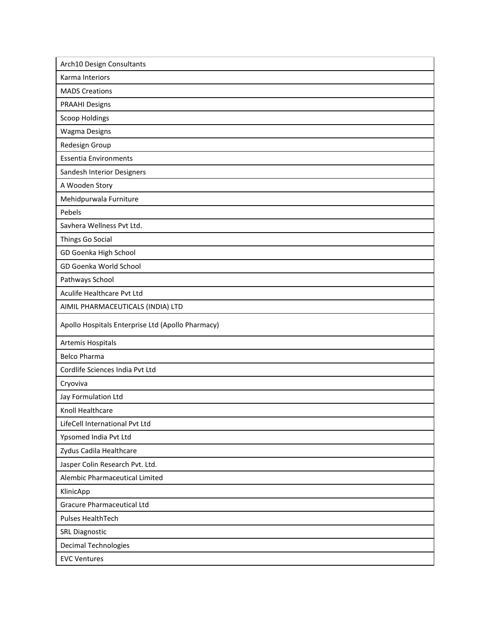| Arch10 Design Consultants                         |
|---------------------------------------------------|
| Karma Interiors                                   |
| <b>MADS Creations</b>                             |
| <b>PRAAHI Designs</b>                             |
| <b>Scoop Holdings</b>                             |
| <b>Wagma Designs</b>                              |
| Redesign Group                                    |
| <b>Essentia Environments</b>                      |
| Sandesh Interior Designers                        |
| A Wooden Story                                    |
| Mehidpurwala Furniture                            |
| Pebels                                            |
| Savhera Wellness Pvt Ltd.                         |
| Things Go Social                                  |
| GD Goenka High School                             |
| GD Goenka World School                            |
| Pathways School                                   |
| Aculife Healthcare Pvt Ltd                        |
| AIMIL PHARMACEUTICALS (INDIA) LTD                 |
| Apollo Hospitals Enterprise Ltd (Apollo Pharmacy) |
| Artemis Hospitals                                 |
| <b>Belco Pharma</b>                               |
| Cordlife Sciences India Pvt Ltd                   |
| Cryoviva                                          |
| Jay Formulation Ltd                               |
| Knoll Healthcare                                  |
| LifeCell International Pvt Ltd                    |
| Ypsomed India Pvt Ltd                             |
| Zydus Cadila Healthcare                           |
| Jasper Colin Research Pvt. Ltd.                   |
| Alembic Pharmaceutical Limited                    |
| KlinicApp                                         |
| <b>Gracure Pharmaceutical Ltd</b>                 |
| <b>Pulses HealthTech</b>                          |
| <b>SRL Diagnostic</b>                             |
| Decimal Technologies                              |
|                                                   |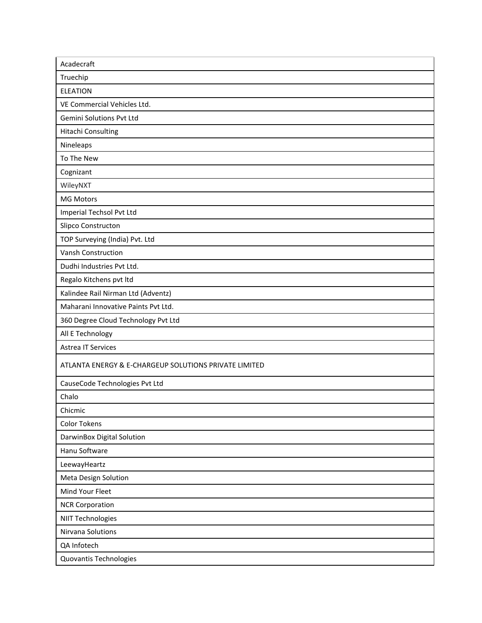| Acadecraft                                            |
|-------------------------------------------------------|
| Truechip                                              |
| <b>ELEATION</b>                                       |
| VE Commercial Vehicles Ltd.                           |
| Gemini Solutions Pvt Ltd                              |
| Hitachi Consulting                                    |
| Nineleaps                                             |
| To The New                                            |
| Cognizant                                             |
| WileyNXT                                              |
| <b>MG Motors</b>                                      |
| Imperial Techsol Pvt Ltd                              |
| Slipco Constructon                                    |
| TOP Surveying (India) Pvt. Ltd                        |
| Vansh Construction                                    |
| Dudhi Industries Pvt Ltd.                             |
| Regalo Kitchens pvt Itd                               |
| Kalindee Rail Nirman Ltd (Adventz)                    |
| Maharani Innovative Paints Pvt Ltd.                   |
| 360 Degree Cloud Technology Pvt Ltd                   |
| All E Technology                                      |
| <b>Astrea IT Services</b>                             |
| ATLANTA ENERGY & E-CHARGEUP SOLUTIONS PRIVATE LIMITED |
| CauseCode Technologies Pvt Ltd                        |
| Chalo                                                 |
| Chicmic                                               |
| <b>Color Tokens</b>                                   |
| DarwinBox Digital Solution                            |
| Hanu Software                                         |
| LeewayHeartz                                          |
| Meta Design Solution                                  |
| Mind Your Fleet                                       |
| <b>NCR Corporation</b>                                |
| <b>NIIT Technologies</b>                              |
| Nirvana Solutions                                     |
| QA Infotech                                           |
| Quovantis Technologies                                |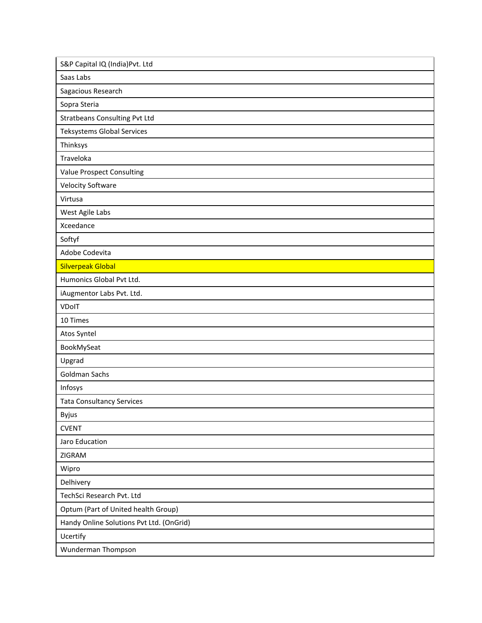| S&P Capital IQ (India) Pvt. Ltd          |
|------------------------------------------|
| Saas Labs                                |
| Sagacious Research                       |
| Sopra Steria                             |
| <b>Stratbeans Consulting Pvt Ltd</b>     |
| Teksystems Global Services               |
| Thinksys                                 |
| Traveloka                                |
| Value Prospect Consulting                |
| <b>Velocity Software</b>                 |
| Virtusa                                  |
| West Agile Labs                          |
| Xceedance                                |
| Softyf                                   |
| Adobe Codevita                           |
| <b>Silverpeak Global</b>                 |
| Humonics Global Pvt Ltd.                 |
| iAugmentor Labs Pvt. Ltd.                |
| VDoIT                                    |
| 10 Times                                 |
| Atos Syntel                              |
| BookMySeat                               |
| Upgrad                                   |
| <b>Goldman Sachs</b>                     |
| Infosys                                  |
| <b>Tata Consultancy Services</b>         |
| <b>Byjus</b>                             |
| <b>CVENT</b>                             |
| Jaro Education                           |
| ZIGRAM                                   |
| Wipro                                    |
| Delhivery                                |
| TechSci Research Pvt. Ltd                |
| Optum (Part of United health Group)      |
| Handy Online Solutions Pvt Ltd. (OnGrid) |
| Ucertify                                 |
| Wunderman Thompson                       |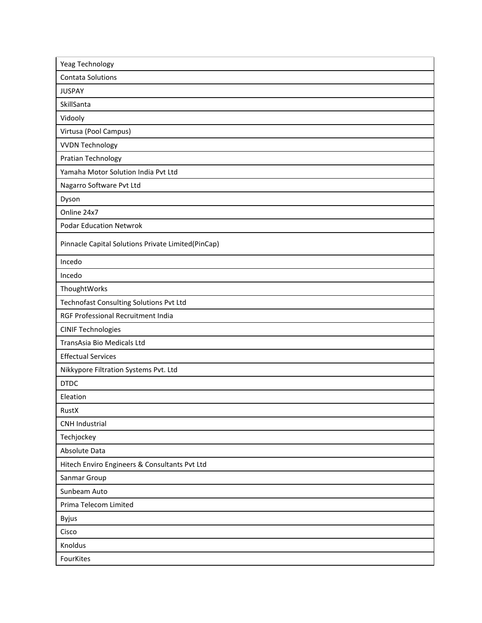| Yeag Technology                                    |
|----------------------------------------------------|
| <b>Contata Solutions</b>                           |
| <b>JUSPAY</b>                                      |
| SkillSanta                                         |
| Vidooly                                            |
| Virtusa (Pool Campus)                              |
| <b>VVDN Technology</b>                             |
| Pratian Technology                                 |
| Yamaha Motor Solution India Pvt Ltd                |
| Nagarro Software Pvt Ltd                           |
| Dyson                                              |
| Online 24x7                                        |
| <b>Podar Education Netwrok</b>                     |
| Pinnacle Capital Solutions Private Limited(PinCap) |
| Incedo                                             |
| Incedo                                             |
| ThoughtWorks                                       |
| Technofast Consulting Solutions Pvt Ltd            |
| RGF Professional Recruitment India                 |
| <b>CINIF Technologies</b>                          |
| TransAsia Bio Medicals Ltd                         |
| <b>Effectual Services</b>                          |
| Nikkypore Filtration Systems Pvt. Ltd              |
| <b>DTDC</b>                                        |
| Eleation                                           |
| RustX                                              |
| <b>CNH Industrial</b>                              |
| Techjockey                                         |
| Absolute Data                                      |
| Hitech Enviro Engineers & Consultants Pvt Ltd      |
| Sanmar Group                                       |
| Sunbeam Auto                                       |
| Prima Telecom Limited                              |
| Byjus                                              |
| Cisco                                              |
| Knoldus                                            |
| FourKites                                          |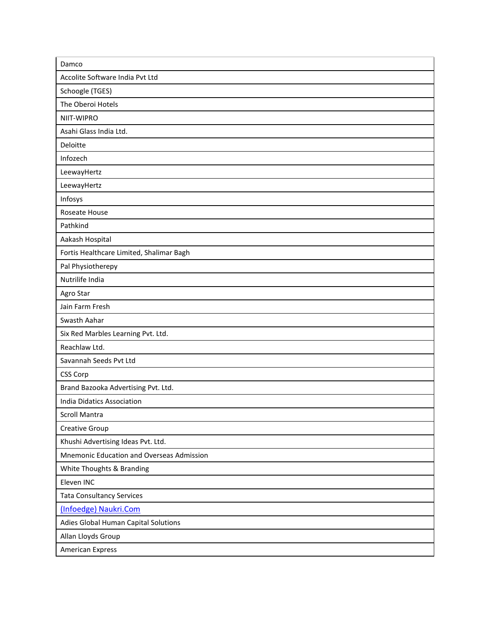| Damco                                     |
|-------------------------------------------|
| Accolite Software India Pvt Ltd           |
| Schoogle (TGES)                           |
| The Oberoi Hotels                         |
| NIIT-WIPRO                                |
| Asahi Glass India Ltd.                    |
| Deloitte                                  |
| Infozech                                  |
| LeewayHertz                               |
| LeewayHertz                               |
| Infosys                                   |
| Roseate House                             |
| Pathkind                                  |
| Aakash Hospital                           |
| Fortis Healthcare Limited, Shalimar Bagh  |
| Pal Physiotherepy                         |
| Nutrilife India                           |
| Agro Star                                 |
| Jain Farm Fresh                           |
| Swasth Aahar                              |
| Six Red Marbles Learning Pvt. Ltd.        |
| Reachlaw Ltd.                             |
| Savannah Seeds Pvt Ltd                    |
| <b>CSS Corp</b>                           |
| Brand Bazooka Advertising Pvt. Ltd.       |
| India Didatics Association                |
| <b>Scroll Mantra</b>                      |
| Creative Group                            |
| Khushi Advertising Ideas Pvt. Ltd.        |
| Mnemonic Education and Overseas Admission |
| White Thoughts & Branding                 |
| Eleven INC                                |
| <b>Tata Consultancy Services</b>          |
| (Infoedge) Naukri.Com                     |
| Adies Global Human Capital Solutions      |
| Allan Lloyds Group                        |
| <b>American Express</b>                   |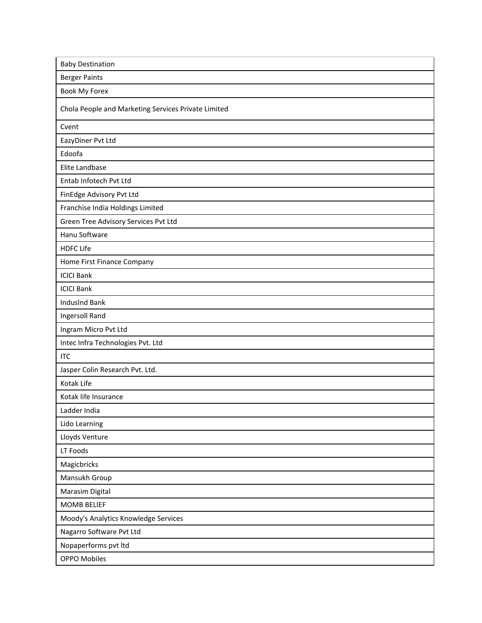| <b>Baby Destination</b>                             |
|-----------------------------------------------------|
| <b>Berger Paints</b>                                |
| Book My Forex                                       |
| Chola People and Marketing Services Private Limited |
| Cvent                                               |
| EazyDiner Pvt Ltd                                   |
| Edoofa                                              |
| Elite Landbase                                      |
| Entab Infotech Pvt Ltd                              |
| FinEdge Advisory Pvt Ltd                            |
| Franchise India Holdings Limited                    |
| Green Tree Advisory Services Pvt Ltd                |
| Hanu Software                                       |
| <b>HDFC Life</b>                                    |
| Home First Finance Company                          |
| <b>ICICI Bank</b>                                   |
| <b>ICICI Bank</b>                                   |
| <b>IndusInd Bank</b>                                |
| Ingersoll Rand                                      |
| Ingram Micro Pvt Ltd                                |
| Intec Infra Technologies Pvt. Ltd                   |
| <b>ITC</b>                                          |
| Jasper Colin Research Pvt. Ltd.                     |
| Kotak Life                                          |
| Kotak life Insurance                                |
| Ladder India                                        |
| Lido Learning                                       |
| Lloyds Venture                                      |
| LT Foods                                            |
| Magicbricks                                         |
| Mansukh Group                                       |
| Marasim Digital                                     |
| <b>MOMB BELIEF</b>                                  |
| Moody's Analytics Knowledge Services                |
| Nagarro Software Pvt Ltd                            |
| Nopaperforms pvt ltd                                |
| <b>OPPO Mobiles</b>                                 |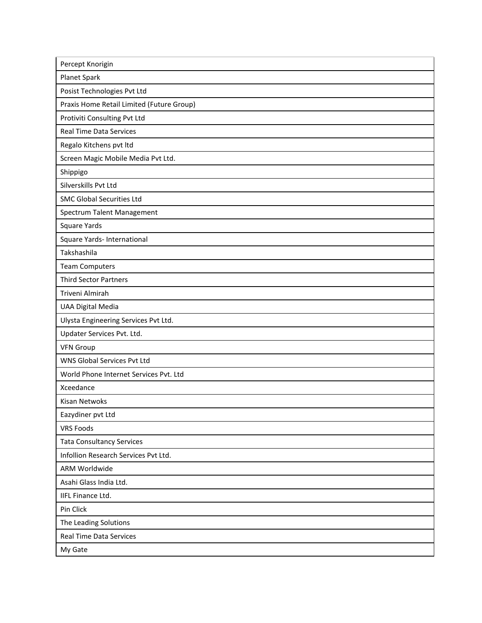| Percept Knorigin                          |
|-------------------------------------------|
| Planet Spark                              |
| Posist Technologies Pvt Ltd               |
| Praxis Home Retail Limited (Future Group) |
| Protiviti Consulting Pvt Ltd              |
| <b>Real Time Data Services</b>            |
| Regalo Kitchens pvt Itd                   |
| Screen Magic Mobile Media Pvt Ltd.        |
| Shippigo                                  |
| Silverskills Pvt Ltd                      |
| <b>SMC Global Securities Ltd</b>          |
| Spectrum Talent Management                |
| Square Yards                              |
| Square Yards- International               |
| Takshashila                               |
| <b>Team Computers</b>                     |
| <b>Third Sector Partners</b>              |
| Triveni Almirah                           |
| <b>UAA Digital Media</b>                  |
| Ulysta Engineering Services Pvt Ltd.      |
| Updater Services Pvt. Ltd.                |
| <b>VFN Group</b>                          |
| WNS Global Services Pvt Ltd               |
| World Phone Internet Services Pvt. Ltd    |
| Xceedance                                 |
| <b>Kisan Netwoks</b>                      |
| Eazydiner pvt Ltd                         |
| <b>VRS Foods</b>                          |
| <b>Tata Consultancy Services</b>          |
| Infollion Research Services Pvt Ltd.      |
| <b>ARM Worldwide</b>                      |
| Asahi Glass India Ltd.                    |
| <b>IIFL Finance Ltd.</b>                  |
| Pin Click                                 |
| The Leading Solutions                     |
| <b>Real Time Data Services</b>            |
| My Gate                                   |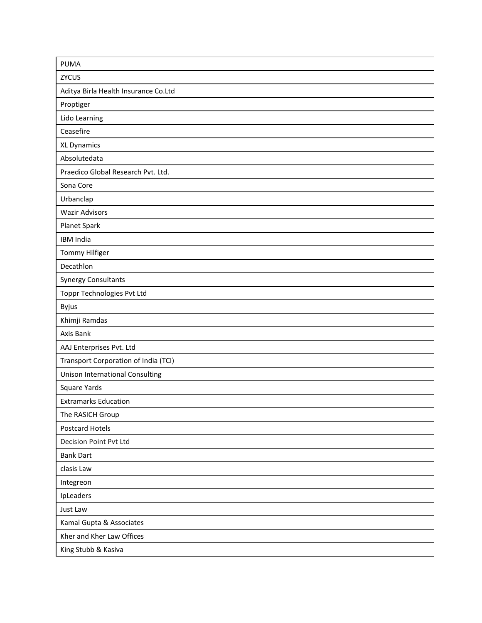| <b>PUMA</b>                            |
|----------------------------------------|
| <b>ZYCUS</b>                           |
| Aditya Birla Health Insurance Co.Ltd   |
| Proptiger                              |
| Lido Learning                          |
| Ceasefire                              |
| <b>XL Dynamics</b>                     |
| Absolutedata                           |
| Praedico Global Research Pvt. Ltd.     |
| Sona Core                              |
| Urbanclap                              |
| <b>Wazir Advisors</b>                  |
| Planet Spark                           |
| <b>IBM India</b>                       |
| Tommy Hilfiger                         |
| Decathlon                              |
| <b>Synergy Consultants</b>             |
| Toppr Technologies Pvt Ltd             |
| <b>Byjus</b>                           |
| Khimji Ramdas                          |
| Axis Bank                              |
| AAJ Enterprises Pvt. Ltd               |
| Transport Corporation of India (TCI)   |
| <b>Unison International Consulting</b> |
| Square Yards                           |
| <b>Extramarks Education</b>            |
| The RASICH Group                       |
| <b>Postcard Hotels</b>                 |
| <b>Decision Point Pvt Ltd</b>          |
| <b>Bank Dart</b>                       |
| clasis Law                             |
| Integreon                              |
| IpLeaders                              |
| Just Law                               |
| Kamal Gupta & Associates               |
| Kher and Kher Law Offices              |
| King Stubb & Kasiva                    |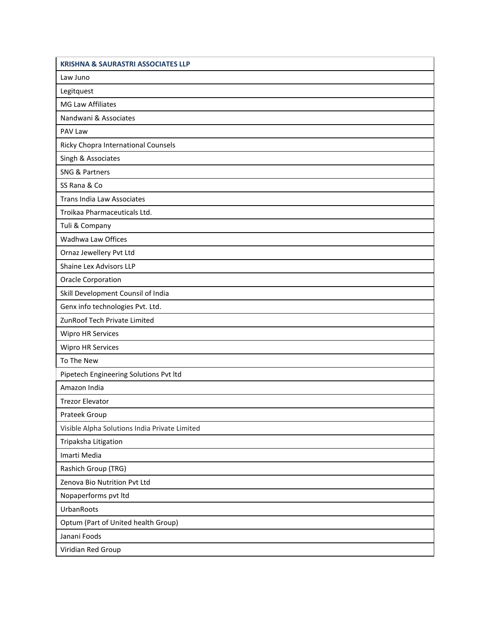| <b>KRISHNA &amp; SAURASTRI ASSOCIATES LLP</b> |
|-----------------------------------------------|
| Law Juno                                      |
| Legitquest                                    |
| MG Law Affiliates                             |
| Nandwani & Associates                         |
| PAV Law                                       |
| Ricky Chopra International Counsels           |
| Singh & Associates                            |
| <b>SNG &amp; Partners</b>                     |
| SS Rana & Co                                  |
| <b>Trans India Law Associates</b>             |
| Troikaa Pharmaceuticals Ltd.                  |
| Tuli & Company                                |
| Wadhwa Law Offices                            |
| Ornaz Jewellery Pvt Ltd                       |
| Shaine Lex Advisors LLP                       |
| <b>Oracle Corporation</b>                     |
| Skill Development Counsil of India            |
| Genx info technologies Pvt. Ltd.              |
| ZunRoof Tech Private Limited                  |
| Wipro HR Services                             |
| <b>Wipro HR Services</b>                      |
| To The New                                    |
| Pipetech Engineering Solutions Pvt Itd        |
| Amazon India                                  |
| <b>Trezor Elevator</b>                        |
| Prateek Group                                 |
| Visible Alpha Solutions India Private Limited |
| Tripaksha Litigation                          |
| Imarti Media                                  |
| Rashich Group (TRG)                           |
| Zenova Bio Nutrition Pvt Ltd                  |
| Nopaperforms pvt ltd                          |
| UrbanRoots                                    |
| Optum (Part of United health Group)           |
| Janani Foods                                  |
| Viridian Red Group                            |